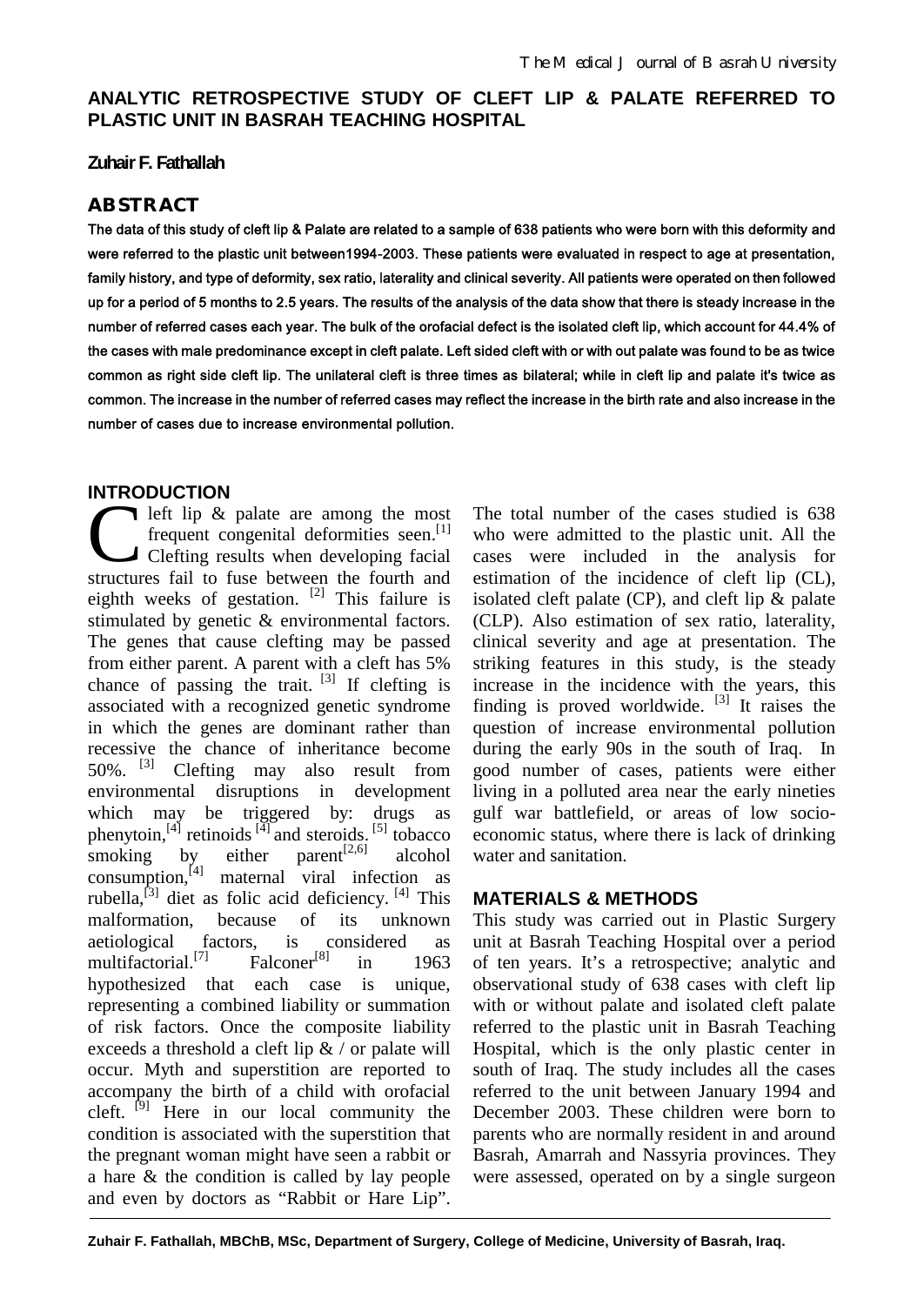# **ANALYTIC RETROSPECTIVE STUDY OF CLEFT LIP & PALATE REFERRED TO PLASTIC UNIT IN BASRAH TEACHING HOSPITAL**

#### **Zuhair F. Fathallah**

### **ABSTRACT**

**The data of this study of cleft lip & Palate are related to a sample of 638 patients who were born with this deformity and were referred to the plastic unit between1994-2003. These patients were evaluated in respect to age at presentation, family history, and type of deformity, sex ratio, laterality and clinical severity. All patients were operated on then followed up for a period of 5 months to 2.5 years. The results of the analysis of the data show that there is steady increase in the number of referred cases each year. The bulk of the orofacial defect is the isolated cleft lip, which account for 44.4% of the cases with male predominance except in cleft palate. Left sided cleft with or with out palate was found to be as twice common as right side cleft lip. The unilateral cleft is three times as bilateral; while in cleft lip and palate it's twice as common. The increase in the number of referred cases may reflect the increase in the birth rate and also increase in the number of cases due to increase environmental pollution.**

### **INTRODUCTION**

left lip & palate are among the most frequent congenital deformities seen.<sup>[1]</sup> Clefting results when developing facial The structures fail to fuse between the fourth and structures fail to fuse between the fourth and eighth weeks of gestation.  $[2]$  This failure is stimulated by genetic & environmental factors. The genes that cause clefting may be passed from either parent. A parent with a cleft has 5% chance of passing the trait.  $[3]$  If clefting is associated with a recognized genetic syndrome in which the genes are dominant rather than recessive the chance of inheritance become 50%. [3] Clefting may also result from environmental disruptions in development which may be triggered by: drugs as phenytoin,  $^{[4]}$  retinoids  $^{[4]}$  and steroids. <sup>[5]</sup> tobacco smoking by either parent<sup>[2,6]</sup> alcohol consumption, $\begin{bmatrix} 4 \end{bmatrix}$  maternal viral infection as rubella,<sup>[3]</sup> diet as folic acid deficiency. <sup>[4]</sup> This malformation, because of its unknown aetiological factors, is considered as multifactorial. [7] Falconer<sup>[8]</sup> in 1963 hypothesized that each case is unique, representing a combined liability or summation of risk factors. Once the composite liability exceeds a threshold a cleft lip  $\&$  / or palate will occur. Myth and superstition are reported to accompany the birth of a child with orofacial cleft. <sup>[9]</sup> Here in our local community the condition is associated with the superstition that the pregnant woman might have seen a rabbit or a hare & the condition is called by lay people and even by doctors as "Rabbit or Hare Lip".

The total number of the cases studied is 638 who were admitted to the plastic unit. All the cases were included in the analysis for estimation of the incidence of cleft lip (CL), isolated cleft palate  $(CP)$ , and cleft lip  $\&$  palate (CLP). Also estimation of sex ratio, laterality, clinical severity and age at presentation. The striking features in this study, is the steady increase in the incidence with the years, this finding is proved worldwide.  $[3]$  It raises the question of increase environmental pollution during the early 90s in the south of Iraq. In good number of cases, patients were either living in a polluted area near the early nineties gulf war battlefield, or areas of low socioeconomic status, where there is lack of drinking water and sanitation.

### **MATERIALS & METHODS**

This study was carried out in Plastic Surgery unit at Basrah Teaching Hospital over a period of ten years. It's a retrospective; analytic and observational study of 638 cases with cleft lip with or without palate and isolated cleft palate referred to the plastic unit in Basrah Teaching Hospital, which is the only plastic center in south of Iraq. The study includes all the cases referred to the unit between January 1994 and December 2003. These children were born to parents who are normally resident in and around Basrah, Amarrah and Nassyria provinces. They were assessed, operated on by a single surgeon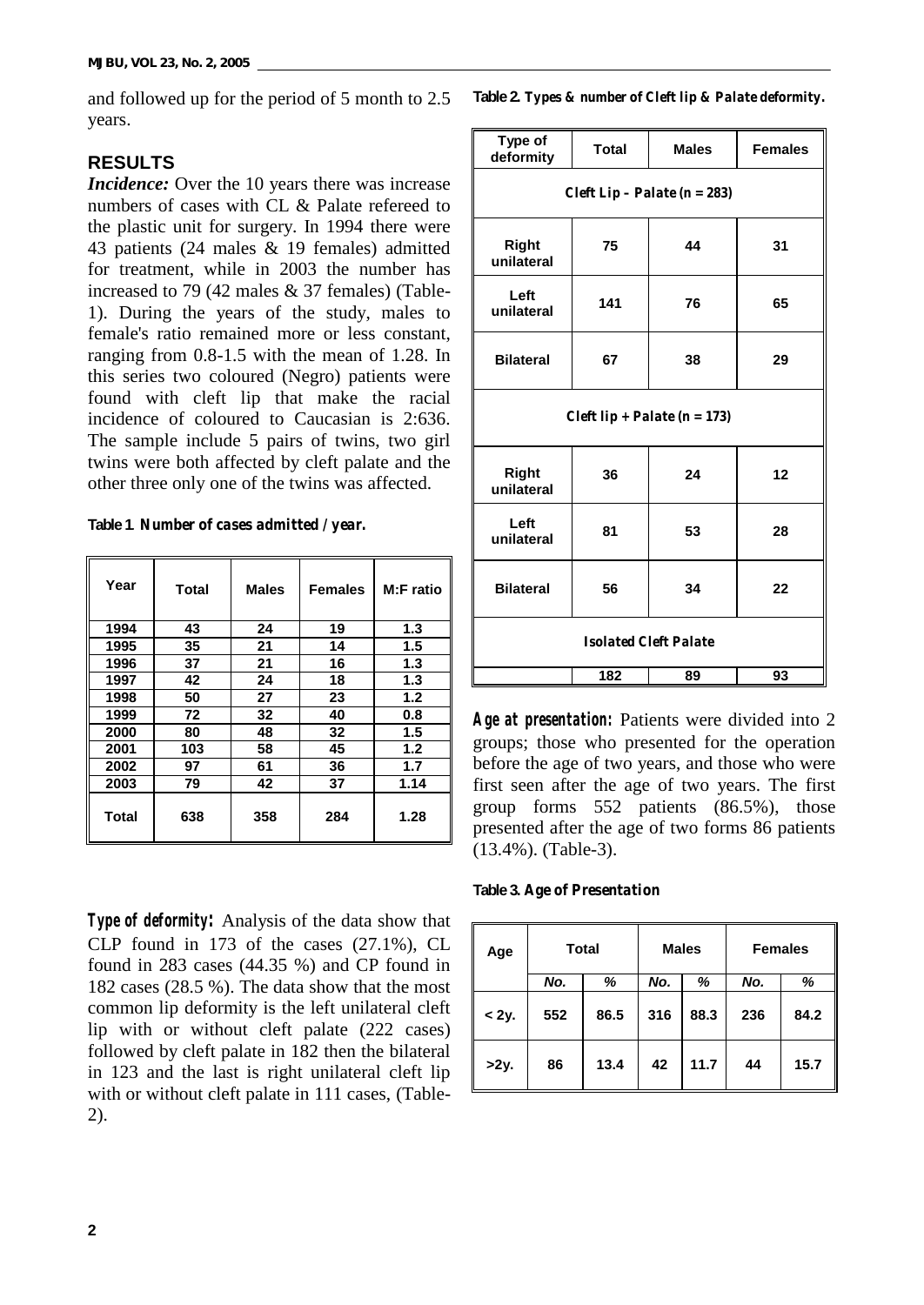and followed up for the period of 5 month to 2.5 years.

## **RESULTS**

*Incidence:* Over the 10 years there was increase numbers of cases with CL & Palate refereed to the plastic unit for surgery. In 1994 there were 43 patients (24 males & 19 females) admitted for treatment, while in 2003 the number has increased to 79 (42 males & 37 females) (Table-1). During the years of the study, males to female's ratio remained more or less constant, ranging from 0.8-1.5 with the mean of 1.28. In this series two coloured (Negro) patients were found with cleft lip that make the racial incidence of coloured to Caucasian is 2:636. The sample include 5 pairs of twins, two girl twins were both affected by cleft palate and the other three only one of the twins was affected.

| Table 1. Number of cases admitted / year. |  |  |  |
|-------------------------------------------|--|--|--|
|-------------------------------------------|--|--|--|

| Year         | Total | <b>Males</b> | <b>Females</b> | M:F ratio |
|--------------|-------|--------------|----------------|-----------|
| 1994         | 43    | 24           | 19             | 1.3       |
| 1995         | 35    | 21           | 14             | 1.5       |
| 1996         | 37    | 21           | 16             | 1.3       |
| 1997         | 42    | 24           | 18             | 1.3       |
| 1998         | 50    | 27           | 23             | 1.2       |
| 1999         | 72    | 32           | 40             | 0.8       |
| 2000         | 80    | 48           | 32             | 1.5       |
| 2001         | 103   | 58           | 45             | 1.2       |
| 2002         | 97    | 61           | 36             | 1.7       |
| 2003         | 79    | 42           | 37             | 1.14      |
| <b>Total</b> | 638   | 358          | 284            | 1.28      |

*Type of deformity:* Analysis of the data show that CLP found in 173 of the cases (27.1%), CL found in 283 cases (44.35 %) and CP found in 182 cases (28.5 %). The data show that the most common lip deformity is the left unilateral cleft lip with or without cleft palate (222 cases) followed by cleft palate in 182 then the bilateral in 123 and the last is right unilateral cleft lip with or without cleft palate in 111 cases, (Table-2).

**Table 2.** *Types & number of Cleft lip & Palate deformity.*

| Type of<br>deformity             | <b>Total</b> | <b>Males</b> | <b>Females</b> |  |  |
|----------------------------------|--------------|--------------|----------------|--|--|
| Cleft Lip - Palate ( $n = 283$ ) |              |              |                |  |  |
| <b>Right</b><br>unilateral       | 75           | 44           | 31             |  |  |
| Left<br>unilateral               | 141          | 76           | 65             |  |  |
| <b>Bilateral</b>                 | 67           | 38           | 29             |  |  |
| Cleft lip + Palate ( $n = 173$ ) |              |              |                |  |  |
| <b>Right</b><br>unilateral       | 36           | 24           | 12             |  |  |
| Left<br>unilateral               | 81           | 53           | 28             |  |  |
| <b>Bilateral</b>                 | 56           | 34           | 22             |  |  |
| <b>Isolated Cleft Palate</b>     |              |              |                |  |  |
|                                  | 182          | 89           | 93             |  |  |

*Age at presentation:* Patients were divided into 2 groups; those who presented for the operation before the age of two years, and those who were first seen after the age of two years. The first group forms 552 patients (86.5%), those presented after the age of two forms 86 patients (13.4%). (Table-3).

**Table 3.** *Age of Presentation*

| Age     |     | <b>Total</b> |     | <b>Males</b> |     | <b>Females</b> |
|---------|-----|--------------|-----|--------------|-----|----------------|
|         | No. | %            | No. | %            | No. | %              |
| $<$ 2y. | 552 | 86.5         | 316 | 88.3         | 236 | 84.2           |
| >2y.    | 86  | 13.4         | 42  | 11.7         | 44  | 15.7           |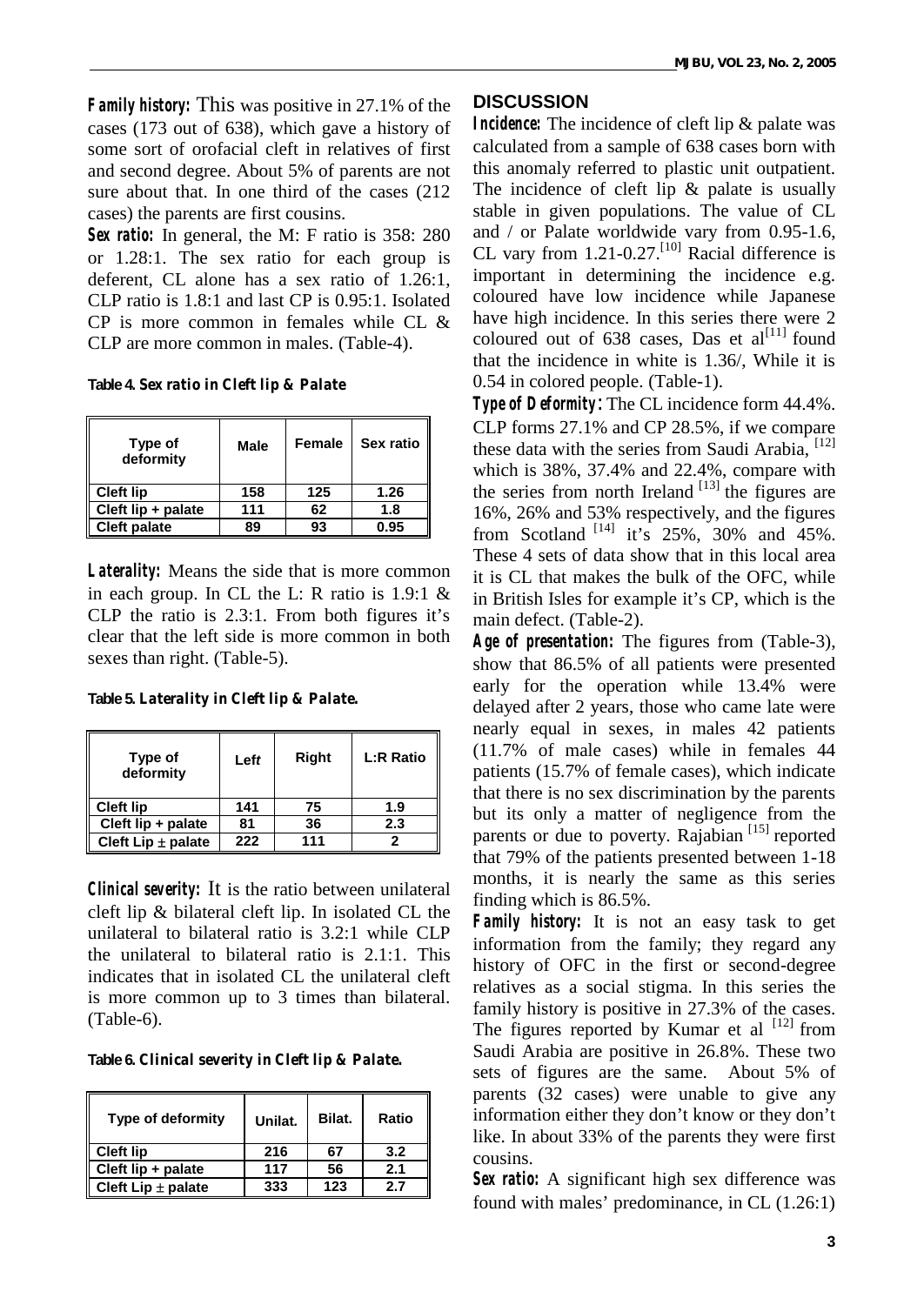*Family history:* This was positive in 27.1% of the cases (173 out of 638), which gave a history of some sort of orofacial cleft in relatives of first and second degree. About 5% of parents are not sure about that. In one third of the cases (212 cases) the parents are first cousins.

*Sex ratio:* In general, the M: F ratio is 358: 280 or 1.28:1. The sex ratio for each group is deferent, CL alone has a sex ratio of 1.26:1, CLP ratio is 1.8:1 and last CP is 0.95:1. Isolated CP is more common in females while CL  $\&$ CLP are more common in males. (Table-4).

**Table 4.** *Sex ratio in Cleft lip & Palate*

| Type of<br>deformity | Male | Female | Sex ratio |
|----------------------|------|--------|-----------|
| <b>Cleft lip</b>     | 158  | 125    | 1.26      |
| Cleft lip + palate   | 111  | 62     | 1.8       |
| <b>Cleft palate</b>  | 89   | 93     | 0.95      |

*Laterality:* Means the side that is more common in each group. In CL the L: R ratio is 1.9:1 & CLP the ratio is 2.3:1. From both figures it's clear that the left side is more common in both sexes than right. (Table-5).

**Table 5.** *Laterality in Cleft lip & Palate.*

| Type of<br>deformity | Left | Right | <b>L:R Ratio</b> |
|----------------------|------|-------|------------------|
| <b>Cleft lip</b>     | 141  | 75    | 1.9              |
| Cleft lip + palate   | 81   | 36    | 2.3              |
| Cleft Lip ± palate   | 222  | 111   |                  |

*Clinical severity:* It is the ratio between unilateral cleft lip & bilateral cleft lip. In isolated CL the unilateral to bilateral ratio is 3.2:1 while CLP the unilateral to bilateral ratio is 2.1:1. This indicates that in isolated CL the unilateral cleft is more common up to 3 times than bilateral. (Table-6).

**Table 6.** *Clinical severity in Cleft lip & Palate.*

| <b>Type of deformity</b> | Unilat. | Bilat. | Ratio |
|--------------------------|---------|--------|-------|
| <b>Cleft lip</b>         | 216     | 67     | 3.2   |
| Cleft lip + palate       | 117     | 56     | 2.1   |
| Cleft Lip $\pm$ palate   | 333     | 123    | 2.7   |

### **DISCUSSION**

*Incidence:* The incidence of cleft lip & palate was calculated from a sample of 638 cases born with this anomaly referred to plastic unit outpatient. The incidence of cleft lip & palate is usually stable in given populations. The value of CL and / or Palate worldwide vary from 0.95-1.6, CL vary from  $1.21$ -0.27.<sup>[10]</sup> Racial difference is important in determining the incidence e.g. coloured have low incidence while Japanese have high incidence. In this series there were 2 coloured out of  $638$  cases, Das et al<sup>[11]</sup> found that the incidence in white is 1.36/, While it is 0.54 in colored people. (Table-1).

*Type of Deformity:* The CL incidence form 44.4%. CLP forms 27.1% and CP 28.5%, if we compare these data with the series from Saudi Arabia, [12] which is 38%, 37.4% and 22.4%, compare with the series from north Ireland  $^{[13]}$  the figures are 16%, 26% and 53% respectively, and the figures from Scotland  $^{[14]}$  it's 25%, 30% and 45%. These 4 sets of data show that in this local area it is CL that makes the bulk of the OFC, while in British Isles for example it's CP, which is the main defect. (Table-2).

*Age of presentation:* The figures from (Table-3), show that 86.5% of all patients were presented early for the operation while 13.4% were delayed after 2 years, those who came late were nearly equal in sexes, in males 42 patients (11.7% of male cases) while in females 44 patients (15.7% of female cases), which indicate that there is no sex discrimination by the parents but its only a matter of negligence from the parents or due to poverty. Rajabian<sup>[15]</sup> reported that 79% of the patients presented between 1-18 months, it is nearly the same as this series finding which is 86.5%.

*Family history:* It is not an easy task to get information from the family; they regard any history of OFC in the first or second-degree relatives as a social stigma. In this series the family history is positive in 27.3% of the cases. The figures reported by Kumar et al  $^{[12]}$  from Saudi Arabia are positive in 26.8%. These two sets of figures are the same. About 5% of parents (32 cases) were unable to give any information either they don't know or they don't like. In about 33% of the parents they were first cousins.

*Sex ratio:* A significant high sex difference was found with males' predominance, in CL (1.26:1)